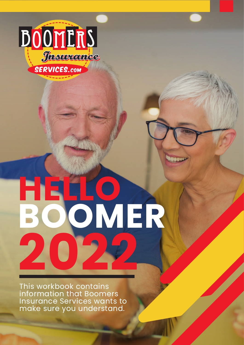

# **HELLO BOOMER 2022**

This workbook contains information that Boomers Insurance Services wants to make sure you understand.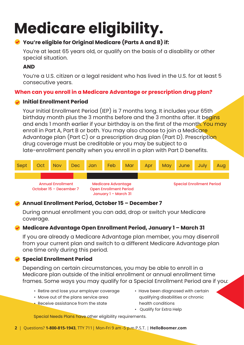# **Medicare eligibility.**

### **You're eligible for Original Medicare (Parts A and B) if:**

You're at least 65 years old, or qualify on the basis of a disability or other special situation.

### **AND**

You're a U.S. citizen or a legal resident who has lived in the U.S. for at least 5 consecutive years.

### **When can you enroll in a Medicare Advantage or prescription drug plan?**

### **Initial Enrollment Period**

Your Initial Enrollment Period (IEP) is 7 months long. It includes your 65th birthday month plus the 3 months before and the 3 months after. It begins and ends 1 month earlier if your birthday is on the first of the month. You may enroll in Part A, Part B or both. You may also choose to join a Medicare Advantage plan (Part C) or a prescription drug plan (Part D). Prescription drug coverage must be creditable or you may be subject to a late-enrollment penalty when you enroll in a plan with Part D benefits.



### **Annual Enrollment Period, October 15 – December 7**

During annual enrollment you can add, drop or switch your Medicare coverage.

### **Medicare Advantage Open Enrollment Period, January 1 – March 31**

If you are already a Medicare Advantage plan member, you may disenroll from your current plan and switch to a different Medicare Advantage plan one time only during this period.

### **Special Enrollment Period**

Depending on certain circumstances, you may be able to enroll in a Medicare plan outside of the initial enrollment or annual enrollment time frames. Some ways you may qualify for a Special Enrollment Period are if you:

- Retire and lose your employer coverage
- Move out of the plans service area
- Receive assistance from the state
- Have been diagnosed with certain qualifying disabilities or chronic health conditions
- Qualify for Extra Help

Special Needs Plans have other eligibility requirements.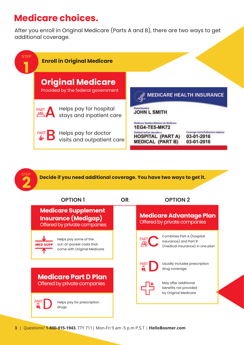### **Medicare choices.**

STEP

After you enroll in Original Medicare (Parts A and B), there are two ways to get additional coverage.



**Decide if you need additional coverage. You have two ways to get it.**

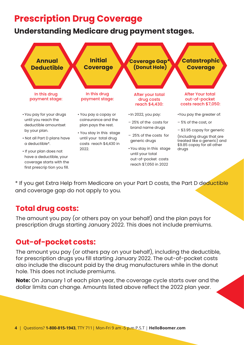### **Prescription Drug Coverage**

### **Understanding Medicare drug payment stages.**



\* If you get Extra Help from Medicare on your Part D costs, the Part D deductible and coverage gap do not apply to you.

### **Total drug costs:**

The amount you pay (or others pay on your behalf) and the plan pays for prescription drugs starting January 2022. This does not include premiums.

### **Out-of-pocket costs:**

The amount you pay (or others pay on your behalf), including the deductible, for prescription drugs you fill starting January 2022. The out-of-pocket costs also include the discount paid by the drug manufacturers while in the donut hole. This does not include premiums.

**Note:** On January 1 of each plan year, the coverage cycle starts over and the dollar limits can change. Amounts listed above reflect the 2022 plan year.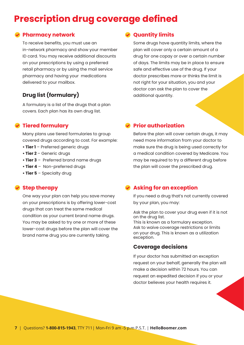### **Prescription drug coverage defined**

#### **Pharmacy network**

To receive benefits, you must use an in-network pharmacy and show your member ID card. You may receive additional discounts on your prescriptions by using a preferred retail pharmacy or by using the mail service pharmacy and having your medications delivered to your mailbox.

### **Drug list (formulary)**

A formulary is a list of the drugs that a plan covers. Each plan has its own drug list.

#### **Tiered formulary**

Many plans use tiered formularies to group covered drugs according to cost. For example:

- **Tier 1** Preferred generic drugs
- **Tier 2**  Generic drugs
- **Tier 3** Preferred brand name drugs
- **Tier 4** Non-preferred drugs
- **Tier 5** Specialty drug

#### **Step therapy**

One way your plan can help you save money on your prescriptions is by offering lower-cost drugs that can treat the same medical condition as your current brand name drugs. You may be asked to try one or more of these lower-cost drugs before the plan will cover the brand name drug you are currently taking.

#### **Quantity limits**

Some drugs have quantity limits, where the plan will cover only a certain amount of a drug for one copay or over a certain number of days. The limits may be in place to ensure safe and effective use of the drug. If your doctor prescribes more or thinks the limit is not right for your situation, you and your doctor can ask the plan to cover the additional quantity.

#### **Prior authorization**

Before the plan will cover certain drugs, it may need more information from your doctor to make sure the drug is being used correctly for a medical condition covered by Medicare. You may be required to try a different drug before the plan will cover the prescribed drug.

#### **Asking for an exception**

If you need a drug that's not currently covered by your plan, you may:

Ask the plan to cover your drug even if it is not on the drug list.

This is known as a formulary exception. Ask to waive coverage restrictions or limits on your drug. This is known as a utilization exception.

#### **Coverage decisions**

If your doctor has submitted an exception request on your behalf, generally the plan will make a decision within 72 hours. You can request an expedited decision if you or your doctor believes your health requires it.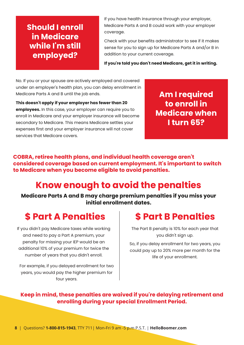### **Should I enroll in Medicare while I'm still employed?**

If you have health insurance through your employer, Medicare Parts A and B could work with your employer coverage.

Check with your benefits administrator to see if it makes sense for you to sign up for Medicare Parts A and/or B in addition to your current coverage.

**If you're told you don't need Medicare, get it in writing.**

No. If you or your spouse are actively employed and covered under an employer's health plan, you can delay enrollment in Medicare Parts A and B until the job ends.

**This doesn't apply if your employer has fewer than 20 employees.** In this case, your employer can require you to enroll in Medicare and your employer insurance will become secondary to Medicare. This means Medicare settles your expenses first and your employer insurance will not cover services that Medicare covers.

**Am I required to enroll in Medicare when I turn 65?**

**COBRA, retiree health plans, and individual health coverage aren't considered coverage based on current employment. It's important to switch to Medicare when you become eligible to avoid penalties.** 

### **Know enough to avoid the penalties**

**Medicare Parts A and B may charge premium penalties if you miss your initial enrollment dates.**

### **\$ Part A Penalties \$ Part B Penalties**

If you didn't pay Medicare taxes while working and need to pay a Part A premium, your penalty for missing your IEP would be an additional 10% of your premium for twice the number of years that you didn't enroll.

For example, if you delayed enrollment for two years, you would pay the higher premium for four years.

The Part B penalty is 10% for each year that you didn't sign up.

So, if you delay enrollment for two years, you could pay up to 20% more per month for the life of your enrollment.

**Keep in mind, these penalties are waived if you're delaying retirement and enrolling during your special Enrollment Period.**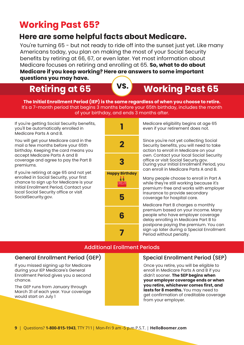### **Working Past 65?**

### **Here are some helpful facts about Medicare.**

You're turning 65 - but not ready to ride off into the sunset just yet. Like many Americans today, you plan on making the most of your Social Security benefits by retiring at 66, 67, or even later. Yet most information about Medicare focuses on retiring and enrolling at 65. **So, what to do about Medicare if you keep working? Here are answers to some important questions you may have.**

### **Retiring at 65 WS. Working Past 65**

**The Initial Enrollment Period (IEP) is the same regardless of when you choose to retire.** It's a 7-month period that begins 3 months before your 65th birthday, includes the month of your birthday, and ends 3 months after.

If you're getting Social Security benefits, you'll be automatically enrolled in Medicare Parts A and B.

You will get your Medicare card in the mail a few months before your 65th birthday. Keeping the card means you accept Medicare Parts A and B coverage and agree to pay the Part B premiums.

If you're retiring at age 65 and not yet enrolled in Social Security, your first chance to sign up for Medicare is your Initial Enrollment Period, Contact your local Social Security office or visit SocialSecurity.gov.



Medicare eligibility begins at age 65 even if your retirement does not.

During your Initial Enrollment Period, you can enroll in Medicare Parts A and B. Since you're not yet collecting Social Security benefits, you will need to take action to enroll in Medicare on your own. Contact your local Social Security office or visit Social Securty.gov.

Many people choose to enroll in Part A while they're still working because it's premium-free and works with employer Insurance to provide secondary coverage for hospital care.

Medicare Part B charges a monthly premium based on your income. Many people who have employer coverage delay enrolling in Medicare Part B to postpone paying the premium. You can sign up later during a Special Enrollment Period without penalty.

#### Additional Erollment Periods

#### General Enrollment Period (GEP) Special Enrollment Period (SEP)

If you missed signing up for Medicare during your IEP Medicare's General Enrollment Period gives you a second chance.

The GEP runs from January through March 31 of each year. Your coverage would start on July 1

Once you retire, you will be eligible to enroll in Medicare Parts A and B if you didn't sooner. **The SEP begins when your employer coverage ends or when you retire, whichever comes first, and**  lasts for 8 months. You may need to get confirmation of creditable coverage from your employer.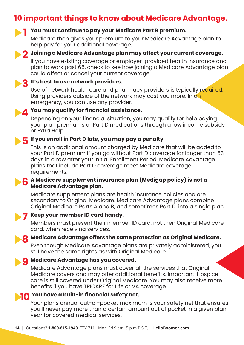### **10 important things to know about Medicare Advantage.**



#### **You must continue to pay your Medicare Part B premium.**

Medicare then gives your premium to your Medicare Advantage plan to help pay for your additional coverage.



### **10 Joining a Medicare Advantage plan may affect your current coverage.<br>If you have existing coverage or employer-provided bealth insurance and**

If you have existing coverage or employer-provided health insurance and plan to work past 65, check to see how joining a Medicare Advantage plan could affect or cancel your current coverage.

### **3** It's best to use network providers.<br>The of network bealth care and ph

Use of network health care and pharmacy providers is typically required. Using providers outside of the network may cost you more. In an emergency, you can use any provider.



### **4 You may qualify for financial assistance.**<br>Depending on your financial situation you

Depending on your financial situation, you may qualify for help paying your plan premiums or Part D medications through a low income subsidy or Extra Help.

### **5** If you enroll in Part D late, you may pay a penalty.<br>This is an additional amount charaed by Medicare

This is an additional amount charged by Medicare that will be added to your Part D premium if you go without Part D coverage for longer than 63 days in a row after your Initial Enrollment Period. Medicare Advantage plans that include Part D coverage meet Medicare coverage requirements.

#### **A Medicare supplement insurance plan (Medigap policy) is not a 6 Medicare Advantage plan.**

Medicare supplement plans are health insurance policies and are secondary to Original Medicare. Medicare Advantage plans combine Original Medicare Parts A and B, and sometimes Part D, into a single plan.



### **7 Keep your member ID card handy.**<br>Members must present their memb

Members must present their member ID card, not their Original Medicare card, when receiving services.

### **8** Medicare Advantage offers the same protection as Original Medicare.<br>Even though Medicare Advantage plans are privately administered, you

Even though Medicare Advantage plans are privately administered, you still have the same rights as with Original Medicare.

### **g Medicare Advantage has you covered.**<br>Medicare Advantage plans must cover a

Medicare Advantage plans must cover all the services that Original Medicare covers and may offer additional benefits. Important: Hospice care is still covered under Original Medicare. You may also receive more benefits if you have TRICARE for Life or VA coverage.

## **10** You have a built-in financial safety net.<br>Your plans appual out-of-pocket maximu

Your plans annual out-of-pocket maximum is your safety net that ensures you'll never pay more than a certain amount out of pocket in a given plan year for covered medical services.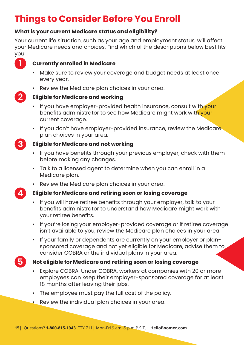### **Things to Consider Before You Enroll**

### **What is your current Medicare status and eligibility?**

Your current life situation, such as your age and employment status, will affect your Medicare needs and choices. Find which of the descriptions below best fits you:



### **Currently enrolled in Medicare**

- Make sure to review your coverage and budget needs at least once every year.
- Review the Medicare plan choices in your area.



**3**

#### **Eligible for Medicare and working**

- If you have employer-provided health insurance, consult with your benefits administrator to see how Medicare might work with your current coverage.
- If you don't have employer-provided insurance, review the Medicare plan choices in your area.

#### **Eligible for Medicare and not working**

- If you have benefits through your previous employer, check with them before making any changes.
- Talk to a licensed agent to determine when you can enroll in a Medicare plan.
- Review the Medicare plan choices in your area.

**4**

**5**

### **Eligible for Medicare and retiring soon or losing coverage**

- If you will have retiree benefits through your employer, talk to your benefits administrator to understand how Medicare might work with your retiree benefits.
- If you're losing your employer-provided coverage or if retiree coverage isn't available to you, review the Medicare plan choices in your area.
- If your family or dependents are currently on your employer or plan sponsored coverage and not yet eligible for Medicare, advise them to consider COBRA or the individual plans in your area.

### **Not eligible for Medicare and retiring soon or losing coverage**

- Explore COBRA. Under COBRA, workers at companies with 20 or more employees can keep their employer-sponsored coverage for at least 18 months after leaving their jobs.
- The employee must pay the full cost of the policy.
- Review the individual plan choices in your area.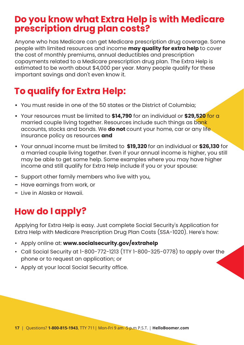### **Do you know what Extra Help is with Medicare prescription drug plan costs?**

Anyone who has Medicare can get Medicare prescription drug coverage. Some people with limited resources and income **may quality for extra help** to cover the cost of monthly premiums, annual deductibles and prescription copayments related to a Medicare prescription drug plan. The Extra Help is estimated to be worth about \$4,000 per year. Many people qualify for these important savings and don't even know it.

### **To qualify for Extra Help:**

- **•** You must reside in one of the 50 states or the District of Columbia;
- **•** Your resources must be limited to **\$14,790** for an individual or **\$29,520** for a married couple living together. Resources include such things as bank accounts, stocks and bonds. We **do not** count your home, car or any life insurance policy as resources **and**
- **•** Your annual income must be limited to **\$19,320** for an individual or **\$26,130** for a married couple living together. Even if your annual income is higher, you still may be able to get some help. Some examples where you may have higher income and still qualify for Extra Help include if you or your spouse:
- **-** Support other family members who live with you,
- **-** Have earnings from work, or
- **-** Live in Alaska or Hawaii.

### **How do I apply?**

Applying for Extra Help is easy. Just complete Social Security's Application for Extra Help with Medicare Prescription Drug Plan Costs (SSA-1020). Here's how:

- Apply online at: **www.socialsecurity.gov/extrahelp**
- Call Social Security at 1-800-772-1213 (TTY 1-800-325-0778) to apply over the phone or to request an application; or
- Apply at your local Social Security office.